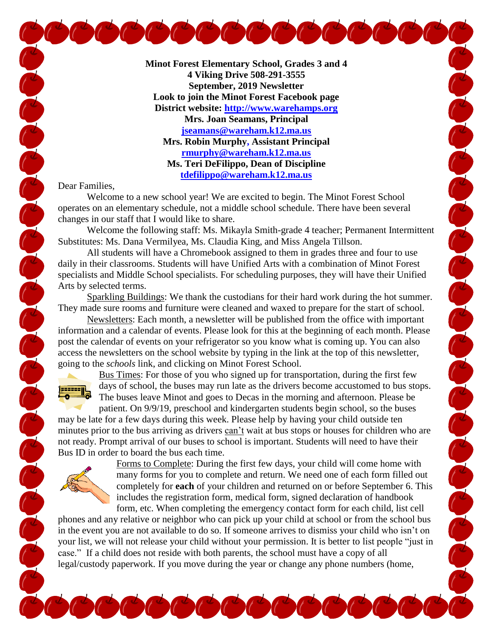**Minot Forest Elementary School, Grades 3 and 4 4 Viking Drive 508-291-3555 September, 2019 Newsletter Look to join the Minot Forest Facebook page District website: [http://www.warehamps.org](http://www.warehamps.org/) Mrs. Joan Seamans, Principal [jseamans@wareham.k12.ma.us](mailto:jseamans@wareham.k12.ma.us) Mrs. Robin Murphy, Assistant Principal [rmurphy@wareham.k12.ma.us](mailto:rmurphy@wareham.k12.ma.us) Ms. Teri DeFilippo, Dean of Discipline [tdefilippo@wareham.k12.ma.us](mailto:tdefilippo@wareham.k12.ma.us)**

 $\int_0^\infty \int_0^\infty \int_0^\infty$ 

Dear Families,

Welcome to a new school year! We are excited to begin. The Minot Forest School operates on an elementary schedule, not a middle school schedule. There have been several changes in our staff that I would like to share.

Welcome the following staff: Ms. Mikayla Smith-grade 4 teacher; Permanent Intermittent Substitutes: Ms. Dana Vermilyea, Ms. Claudia King, and Miss Angela Tillson.

All students will have a Chromebook assigned to them in grades three and four to use daily in their classrooms. Students will have Unified Arts with a combination of Minot Forest specialists and Middle School specialists. For scheduling purposes, they will have their Unified Arts by selected terms.

Sparkling Buildings: We thank the custodians for their hard work during the hot summer. They made sure rooms and furniture were cleaned and waxed to prepare for the start of school.

Newsletters: Each month, a newsletter will be published from the office with important information and a calendar of events. Please look for this at the beginning of each month. Please post the calendar of events on your refrigerator so you know what is coming up. You can also access the newsletters on the school website by typing in the link at the top of this newsletter, going to the *schools* link, and clicking on Minot Forest School.



Concrete Concrete Concrete Concrete Concrete Concrete Concrete Concrete Concrete Concrete Concrete Concrete Co

Bus Times: For those of you who signed up for transportation, during the first few days of school, the buses may run late as the drivers become accustomed to bus stops. The buses leave Minot and goes to Decas in the morning and afternoon. Please be patient. On 9/9/19, preschool and kindergarten students begin school, so the buses

may be late for a few days during this week. Please help by having your child outside ten minutes prior to the bus arriving as drivers can't wait at bus stops or houses for children who are not ready. Prompt arrival of our buses to school is important. Students will need to have their Bus ID in order to board the bus each time.



Forms to Complete: During the first few days, your child will come home with many forms for you to complete and return. We need one of each form filled out completely for **each** of your children and returned on or before September 6. This includes the registration form, medical form, signed declaration of handbook

form, etc. When completing the emergency contact form for each child, list cell phones and any relative or neighbor who can pick up your child at school or from the school bus in the event you are not available to do so. If someone arrives to dismiss your child who isn't on your list, we will not release your child without your permission. It is better to list people "just in case." If a child does not reside with both parents, the school must have a copy of all legal/custody paperwork. If you move during the year or change any phone numbers (home,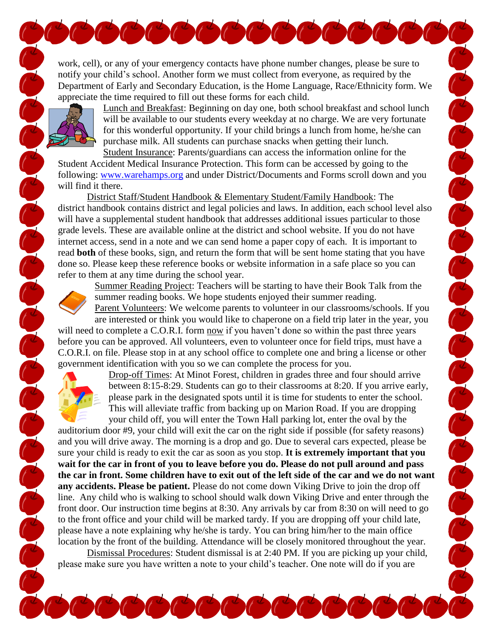work, cell), or any of your emergency contacts have phone number changes, please be sure to notify your child's school. Another form we must collect from everyone, as required by the Department of Early and Secondary Education, is the Home Language, Race/Ethnicity form. We appreciate the time required to fill out these forms for each child.



Lunch and Breakfast: Beginning on day one, both school breakfast and school lunch will be available to our students every weekday at no charge. We are very fortunate for this wonderful opportunity. If your child brings a lunch from home, he/she can purchase milk. All students can purchase snacks when getting their lunch. Student Insurance: Parents/guardians can access the information online for the

Student Accident Medical Insurance Protection. This form can be accessed by going to the following: [www.warehamps.org](http://www.warehamps.org/) and under District/Documents and Forms scroll down and you will find it there.

District Staff/Student Handbook & Elementary Student/Family Handbook: The district handbook contains district and legal policies and laws. In addition, each school level also will have a supplemental student handbook that addresses additional issues particular to those grade levels. These are available online at the district and school website. If you do not have internet access, send in a note and we can send home a paper copy of each. It is important to read **both** of these books, sign, and return the form that will be sent home stating that you have done so. Please keep these reference books or website information in a safe place so you can refer to them at any time during the school year.



Summer Reading Project: Teachers will be starting to have their Book Talk from the summer reading books. We hope students enjoyed their summer reading. Parent Volunteers: We welcome parents to volunteer in our classrooms/schools. If you Contraction of the Contract of Contract of Contract of Contract of Contract of Contract of Contract of Contract of Contract of Contract of Contract of Contract of Contract of Contract of Contract of Contract of Contract of

are interested or think you would like to chaperone on a field trip later in the year, you will need to complete a C.O.R.I. form now if you haven't done so within the past three years before you can be approved. All volunteers, even to volunteer once for field trips, must have a C.O.R.I. on file. Please stop in at any school office to complete one and bring a license or other government identification with you so we can complete the process for you.



CONFIDENCE CONFIDENCE

Drop-off Times: At Minot Forest, children in grades three and four should arrive between 8:15-8:29. Students can go to their classrooms at 8:20. If you arrive early, please park in the designated spots until it is time for students to enter the school. This will alleviate traffic from backing up on Marion Road. If you are dropping your child off, you will enter the Town Hall parking lot, enter the oval by the

auditorium door #9, your child will exit the car on the right side if possible (for safety reasons) and you will drive away. The morning is a drop and go. Due to several cars expected, please be sure your child is ready to exit the car as soon as you stop. **It is extremely important that you wait for the car in front of you to leave before you do. Please do not pull around and pass the car in front. Some children have to exit out of the left side of the car and we do not want any accidents. Please be patient.** Please do not come down Viking Drive to join the drop off line. Any child who is walking to school should walk down Viking Drive and enter through the front door. Our instruction time begins at 8:30. Any arrivals by car from 8:30 on will need to go to the front office and your child will be marked tardy. If you are dropping off your child late, please have a note explaining why he/she is tardy. You can bring him/her to the main office location by the front of the building. Attendance will be closely monitored throughout the year.

Dismissal Procedures: Student dismissal is at 2:40 PM. If you are picking up your child, please make sure you have written a note to your child's teacher. One note will do if you are

 $\int_0^L \int_0^L$ 

 $\frac{d}{dx}$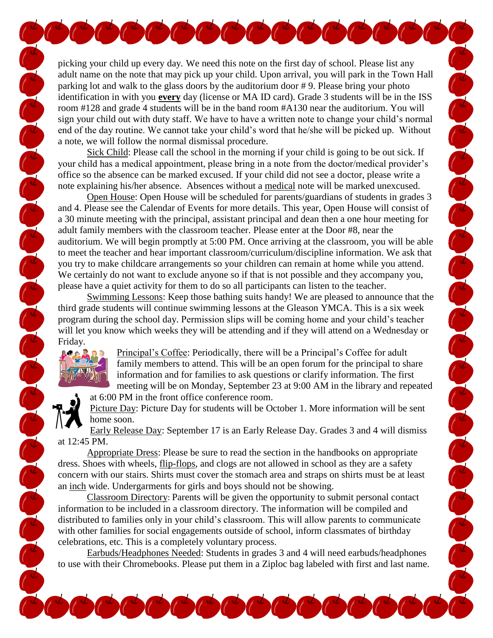picking your child up every day. We need this note on the first day of school. Please list any adult name on the note that may pick up your child. Upon arrival, you will park in the Town Hall parking lot and walk to the glass doors by the auditorium door # 9. Please bring your photo identification in with you **every** day (license or MA ID card). Grade 3 students will be in the ISS room #128 and grade 4 students will be in the band room #A130 near the auditorium. You will sign your child out with duty staff. We have to have a written note to change your child's normal end of the day routine. We cannot take your child's word that he/she will be picked up. Without a note, we will follow the normal dismissal procedure.

COCOCOCOCOCOCOCO

Sick Child: Please call the school in the morning if your child is going to be out sick. If your child has a medical appointment, please bring in a note from the doctor/medical provider's office so the absence can be marked excused. If your child did not see a doctor, please write a note explaining his/her absence. Absences without a medical note will be marked unexcused.

Open House: Open House will be scheduled for parents/guardians of students in grades 3 and 4. Please see the Calendar of Events for more details. This year, Open House will consist of a 30 minute meeting with the principal, assistant principal and dean then a one hour meeting for adult family members with the classroom teacher. Please enter at the Door #8, near the auditorium. We will begin promptly at 5:00 PM. Once arriving at the classroom, you will be able to meet the teacher and hear important classroom/curriculum/discipline information. We ask that you try to make childcare arrangements so your children can remain at home while you attend. We certainly do not want to exclude anyone so if that is not possible and they accompany you, please have a quiet activity for them to do so all participants can listen to the teacher.

Swimming Lessons: Keep those bathing suits handy! We are pleased to announce that the third grade students will continue swimming lessons at the Gleason YMCA. This is a six week program during the school day. Permission slips will be coming home and your child's teacher will let you know which weeks they will be attending and if they will attend on a Wednesday or Friday.



CONTRACTOR CONTRACTOR

Principal's Coffee: Periodically, there will be a Principal's Coffee for adult family members to attend. This will be an open forum for the principal to share information and for families to ask questions or clarify information. The first meeting will be on Monday, September 23 at 9:00 AM in the library and repeated at 6:00 PM in the front office conference room.

COOCOCOCOCOCOCOCOCOCOCOCO

Picture Day: Picture Day for students will be October 1. More information will be sent home soon.

Early Release Day: September 17 is an Early Release Day. Grades 3 and 4 will dismiss at 12:45 PM.

Appropriate Dress: Please be sure to read the section in the handbooks on appropriate dress. Shoes with wheels, <u>flip-flops</u>, and clogs are not allowed in school as they are a safety concern with our stairs. Shirts must cover the stomach area and straps on shirts must be at least an inch wide. Undergarments for girls and boys should not be showing.

Classroom Directory: Parents will be given the opportunity to submit personal contact information to be included in a classroom directory. The information will be compiled and distributed to families only in your child's classroom. This will allow parents to communicate with other families for social engagements outside of school, inform classmates of birthday celebrations, etc. This is a completely voluntary process.

Earbuds/Headphones Needed: Students in grades 3 and 4 will need earbuds/headphones to use with their Chromebooks. Please put them in a Ziploc bag labeled with first and last name.

 $\frac{1}{2}$ 

 $\int_0^L \int_0^L$ 

 $\frac{1}{2}$